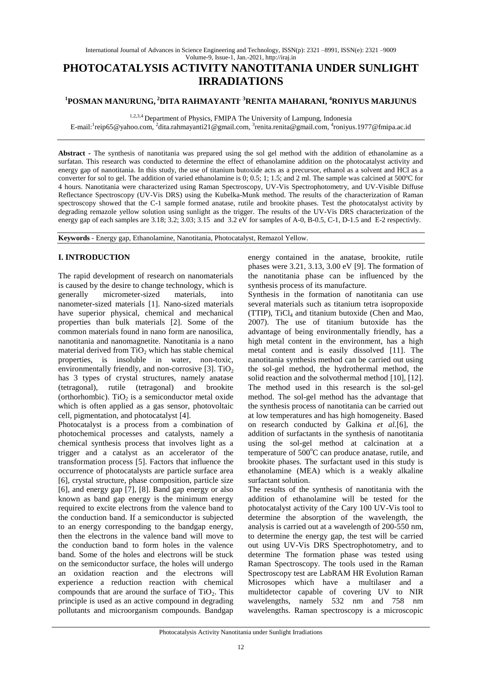# **PHOTOCATALYSIS ACTIVITY NANOTITANIA UNDER SUNLIGHT IRRADIATIONS**

# **<sup>1</sup>POSMAN MANURUNG, <sup>2</sup>DITA RAHMAYANTI, <sup>3</sup>RENITA MAHARANI, <sup>4</sup>RONIYUS MARJUNUS**

1,2,3,4 Department of Physics, FMIPA The University of Lampung, Indonesia

E-mail: <sup>1</sup>reip65@yahoo.com, <sup>2</sup>dita.rahmayanti21@gmail.com, <sup>3</sup>renita.renita@gmail.com, <sup>4</sup>roniyus.1977@fmipa.ac.id

**Abstract -** The synthesis of nanotitania was prepared using the sol gel method with the addition of ethanolamine as a surfatan. This research was conducted to determine the effect of ethanolamine addition on the photocatalyst activity and energy gap of nanotitania. In this study, the use of titanium butoxide acts as a precursor, ethanol as a solvent and HCl as a converter for sol to gel. The addition of varied ethanolamine is 0; 0.5; 1; 1.5; and 2 ml. The sample was calcined at 500ºC for 4 hours. Nanotitania were characterized using Raman Spectroscopy, UV-Vis Spectrophotometry, and UV-Visible Diffuse Reflectance Spectroscopy (UV-Vis DRS) using the Kubelka-Munk method. The results of the characterization of Raman spectroscopy showed that the C-1 sample formed anatase, rutile and brookite phases. Test the photocatalyst activity by degrading remazole yellow solution using sunlight as the trigger. The results of the UV-Vis DRS characterization of the energy gap of each samples are 3.18; 3.2; 3.03; 3.15 and 3.2 eV for samples of A-0, B-0.5, C-1, D-1.5 and E-2 respectivly.

**Keywords** - Energy gap, Ethanolamine, Nanotitania, Photocatalyst, Remazol Yellow.

# **I. INTRODUCTION**

The rapid development of research on nanomaterials is caused by the desire to change technology, which is generally micrometer-sized materials, into nanometer-sized materials [1]. Nano-sized materials have superior physical, chemical and mechanical properties than bulk materials [2]. Some of the common materials found in nano form are nanosilica, nanotitania and nanomagnetite. Nanotitania is a nano material derived from  $TiO<sub>2</sub>$  which has stable chemical properties, is insoluble in water, non-toxic, environmentally friendly, and non-corrosive [3].  $TiO<sub>2</sub>$ has 3 types of crystal structures, namely anatase (tetragonal), rutile (tetragonal) and brookite (orthorhombic). TiO<sub>2</sub> is a semiconductor metal oxide which is often applied as a gas sensor, photovoltaic cell, pigmentation, and photocatalyst [4].

Photocatalyst is a process from a combination of photochemical processes and catalysts, namely a chemical synthesis process that involves light as a trigger and a catalyst as an accelerator of the transformation process [5]. Factors that influence the occurrence of photocatalysts are particle surface area [6], crystal structure, phase composition, particle size [6], and energy gap [7], [8]. Band gap energy or also known as band gap energy is the minimum energy required to excite electrons from the valence band to the conduction band. If a semiconductor is subjected to an energy corresponding to the bandgap energy, then the electrons in the valence band will move to the conduction band to form holes in the valence band. Some of the holes and electrons will be stuck on the semiconductor surface, the holes will undergo an oxidation reaction and the electrons will experience a reduction reaction with chemical compounds that are around the surface of  $TiO<sub>2</sub>$ . This principle is used as an active compound in degrading pollutants and microorganism compounds. Bandgap

energy contained in the anatase, brookite, rutile phases were 3.21, 3.13, 3.00 eV [9]. The formation of the nanotitania phase can be influenced by the synthesis process of its manufacture.

Synthesis in the formation of nanotitania can use several materials such as titanium tetra isopropoxide (TTIP), TiCl<sup>4</sup> and titanium butoxide (Chen and Mao, 2007). The use of titanium butoxide has the advantage of being environmentally friendly, has a high metal content in the environment, has a high metal content and is easily dissolved [11]. The nanotitania synthesis method can be carried out using the sol-gel method, the hydrothermal method, the solid reaction and the solvothermal method [10], [12]. The method used in this research is the sol-gel method. The sol-gel method has the advantage that the synthesis process of nanotitania can be carried out at low temperatures and has high homogeneity. Based on research conducted by Galkina *et al.*[6], the addition of surfactants in the synthesis of nanotitania using the sol-gel method at calcination at a temperature of 500°C can produce anatase, rutile, and brookite phases. The surfactant used in this study is ethanolamine (MEA) which is a weakly alkaline surfactant solution.

The results of the synthesis of nanotitania with the addition of ethanolamine will be tested for the photocatalyst activity of the Cary 100 UV-Vis tool to determine the absorption of the wavelength, the analysis is carried out at a wavelength of 200-550 nm, to determine the energy gap, the test will be carried out using UV-Vis DRS Spectrophotometry, and to determine The formation phase was tested using Raman Spectroscopy. The tools used in the Raman Spectroscopy test are LabRAM HR Evolution Raman Microsopes which have a multilaser and a multidetector capable of covering UV to NIR wavelengths, namely 532 nm and 758 nm wavelengths. Raman spectroscopy is a microscopic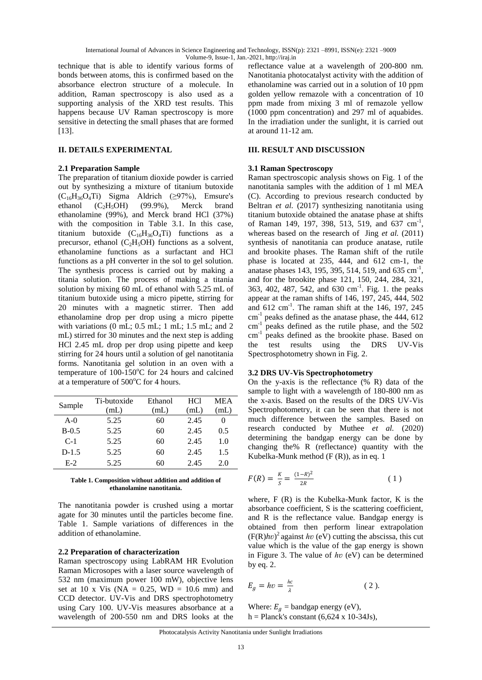International Journal of Advances in Science Engineering and Technology, ISSN(p): 2321 –8991, ISSN(e): 2321 –9009 Volume-9, Issue-1, Jan.-2021, http://iraj.in

technique that is able to identify various forms of bonds between atoms, this is confirmed based on the absorbance electron structure of a molecule. In addition, Raman spectroscopy is also used as a supporting analysis of the XRD test results. This happens because UV Raman spectroscopy is more sensitive in detecting the small phases that are formed [13].

### **II. DETAILS EXPERIMENTAL**

#### **2.1 Preparation Sample**

The preparation of titanium dioxide powder is carried out by synthesizing a mixture of titanium butoxide  $(C_{16}H_{36}O_4Ti)$  Sigma Aldrich (≥97%), Emsure's ethanol  $(C_2H_5OH)$  (99.9%), Merck brand ethanolamine (99%), and Merck brand HCl (37%) with the composition in Table 3.1. In this case, titanium butoxide  $(C_{16}H_{36}O_4T_i)$  functions as a precursor, ethanol  $(C_2H_5OH)$  functions as a solvent, ethanolamine functions as a surfactant and HCl functions as a pH converter in the sol to gel solution. The synthesis process is carried out by making a titania solution. The process of making a titania solution by mixing 60 mL of ethanol with 5.25 mL of titanium butoxide using a micro pipette, stirring for 20 minutes with a magnetic stirrer. Then add ethanolamine drop per drop using a micro pipette with variations  $(0 \text{ mL}; 0.5 \text{ mL}; 1 \text{ mL}; 1.5 \text{ mL}; \text{and } 2)$ mL) stirred for 30 minutes and the next step is adding HCl 2.45 mL drop per drop using pipette and keep stirring for 24 hours until a solution of gel nanotitania forms. Nanotitania gel solution in an oven with a temperature of  $100-150^{\circ}$ C for 24 hours and calcined at a temperature of  $500^{\circ}$ C for 4 hours.

| Sample  | Ti-butoxide | Ethanol | HC1  | <b>MEA</b> |
|---------|-------------|---------|------|------------|
|         | (mL)        | (mL)    | (mL) | (mL)       |
| $A-0$   | 5.25        | 60      | 2.45 |            |
| $B-0.5$ | 5.25        | 60      | 2.45 | 0.5        |
| $C-1$   | 5.25        | 60      | 2.45 | 1.0        |
| $D-1.5$ | 5.25        | 60      | 2.45 | 1.5        |
| $E-2$   | 5.25        | 60      | 2.45 | 20         |

#### **Table 1. Composition without addition and addition of ethanolamine nanotitania.**

The nanotitania powder is crushed using a mortar agate for 30 minutes until the particles become fine. Table 1. Sample variations of differences in the addition of ethanolamine.

## **2.2 Preparation of characterization**

Raman spectroscopy using LabRAM HR Evolution Raman Microsopes with a laser source wavelength of 532 nm (maximum power 100 mW), objective lens set at 10 x Vis (NA =  $0.25$ , WD = 10.6 mm) and CCD detector. UV-Vis and DRS spectrophotometry using Cary 100. UV-Vis measures absorbance at a wavelength of 200-550 nm and DRS looks at the

reflectance value at a wavelength of 200-800 nm. Nanotitania photocatalyst activity with the addition of ethanolamine was carried out in a solution of 10 ppm golden yellow remazole with a concentration of 10 ppm made from mixing 3 ml of remazole yellow (1000 ppm concentration) and 297 ml of aquabides. In the irradiation under the sunlight, it is carried out at around 11-12 am.

#### **III. RESULT AND DISCUSSION**

### **3.1 Raman Spectroscopy**

Raman spectroscopic analysis shows on Fig. 1 of the nanotitania samples with the addition of 1 ml MEA (C). According to previous research conducted by Beltran *et al.* (2017) synthesizing nanotitania using titanium butoxide obtained the anatase phase at shifts of Raman 149, 197, 398, 513, 519, and 637 cm<sup>-1</sup>, whereas based on the research of Jing *et al.* (2011) synthesis of nanotitania can produce anatase, rutile and brookite phases. The Raman shift of the rutile phase is located at 235, 444, and 612 cm-1, the anatase phases 143, 195, 395, 514, 519, and 635 cm<sup>-1</sup>, and for the brookite phase 121, 150, 244, 284, 321, 363, 402, 487, 542, and 630 cm<sup>-1</sup>. Fig. 1. the peaks appear at the raman shifts of 146, 197, 245, 444, 502 and  $612 \text{ cm}^{-1}$ . The raman shift at the 146, 197, 245 cm<sup>-1</sup> peaks defined as the anatase phase, the 444, 612 cm<sup>-1</sup> peaks defined as the rutile phase, and the 502 cm<sup>-1</sup> peaks defined as the brookite phase. Based on the test results using the DRS UV-Vis Spectrosphotometry shown in Fig. 2.

#### **3.2 DRS UV-Vis Spectrophotometry**

On the y-axis is the reflectance (% R) data of the sample to light with a wavelength of 180-800 nm as the x-axis. Based on the results of the DRS UV-Vis Spectrophotometry, it can be seen that there is not much difference between the samples. Based on research conducted by Muthee *et al.* (2020) determining the bandgap energy can be done by changing the% R (reflectance) quantity with the Kubelka-Munk method (F (R)), as in eq. 1

$$
F(R) = \frac{K}{s} = \frac{(1 - R)^2}{2R} \tag{1}
$$

where, F (R) is the Kubelka-Munk factor, K is the absorbance coefficient, S is the scattering coefficient, and R is the reflectance value. Bandgap energy is obtained from then perform linear extrapolation  $(F(R)hv)^2$  against *hv* (eV) cutting the abscissa, this cut value which is the value of the gap energy is shown in Figure 3. The value of *ℎʋ* (eV) can be determined by eq. 2.

$$
E_g = hv = \frac{hc}{\lambda} \tag{2}
$$

Where:  $E_a$  = bandgap energy (eV), h = Planck's constant  $(6,624 \times 10-34$ Js),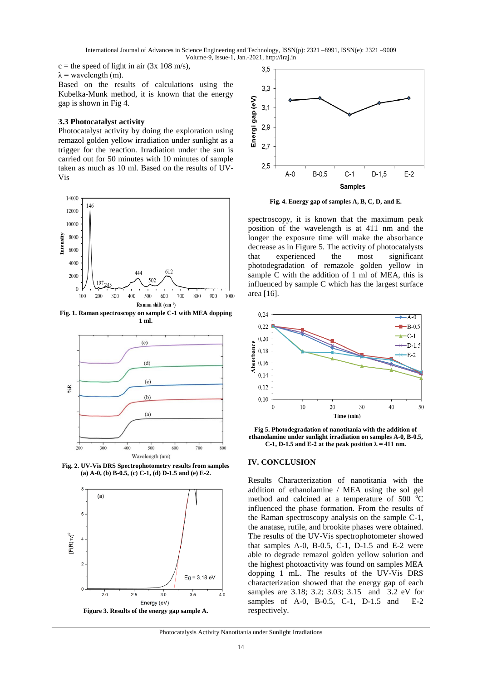International Journal of Advances in Science Engineering and Technology, ISSN(p): 2321 –8991, ISSN(e): 2321 –9009 Volume-9, Issue-1, Jan.-2021, http://iraj.in

 $c =$  the speed of light in air (3x 108 m/s).  $\lambda$  = wavelength (m).

Based on the results of calculations using the Kubelka-Munk method, it is known that the energy gap is shown in Fig 4.

#### **3.3 Photocatalyst activity**

Photocatalyst activity by doing the exploration using remazol golden yellow irradiation under sunlight as a trigger for the reaction. Irradiation under the sun is carried out for 50 minutes with 10 minutes of sample taken as much as 10 ml. Based on the results of UV-Vis



**Fig. 1. Raman spectroscopy on sample C-1 with MEA dopping 1 ml.**



**Fig. 2. UV-Vis DRS Spectrophotometry results from samples (a) A-0, (b) B-0.5, (c) C-1, (d) D-1.5 and (e) E-2.**





**Fig. 4. Energy gap of samples A, B, C, D, and E.**

spectroscopy, it is known that the maximum peak position of the wavelength is at 411 nm and the longer the exposure time will make the absorbance decrease as in Figure 5. The activity of photocatalysts that experienced the most significant photodegradation of remazole golden yellow in sample C with the addition of 1 ml of MEA, this is influenced by sample C which has the largest surface area [16].



**Fig 5. Photodegradation of nanotitania with the addition of ethanolamine under sunlight irradiation on samples A-0, B-0.5,**  C-1, D-1.5 and E-2 at the peak position  $\lambda = 411$  nm.

#### **IV. CONCLUSION**

Results Characterization of nanotitania with the addition of ethanolamine / MEA using the sol gel method and calcined at a temperature of 500  $^{\circ}$ C influenced the phase formation. From the results of the Raman spectroscopy analysis on the sample C-1, the anatase, rutile, and brookite phases were obtained. The results of the UV-Vis spectrophotometer showed that samples  $A-0$ ,  $B-0.5$ ,  $C-1$ ,  $D-1.5$  and  $E-2$  were able to degrade remazol golden yellow solution and the highest photoactivity was found on samples MEA dopping 1 mL. The results of the UV-Vis DRS characterization showed that the energy gap of each samples are 3.18; 3.2; 3.03; 3.15 and 3.2 eV for samples of A-0, B-0.5, C-1, D-1.5 and E-2 respectively.